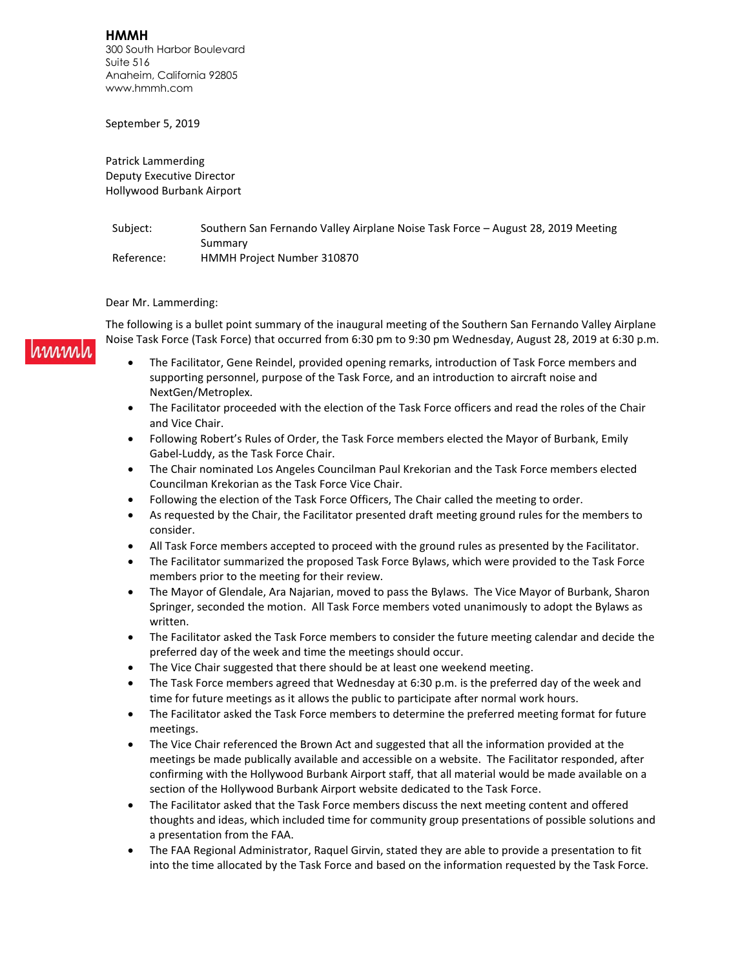**HMMH** 300 South Harbor Boulevard Suite 516 Anaheim, California 92805 www.hmmh.com

September 5, 2019

Patrick Lammerding Deputy Executive Director Hollywood Burbank Airport

Subject: Southern San Fernando Valley Airplane Noise Task Force - August 28, 2019 Meeting Summary Reference: HMMH Project Number 310870

## Dear Mr. Lammerding:

immal

The following is a bullet point summary of the inaugural meeting of the Southern San Fernando Valley Airplane Noise Task Force (Task Force) that occurred from 6:30 pm to 9:30 pm Wednesday, August 28, 2019 at 6:30 p.m.

- The Facilitator, Gene Reindel, provided opening remarks, introduction of Task Force members and supporting personnel, purpose of the Task Force, and an introduction to aircraft noise and NextGen/Metroplex.
- The Facilitator proceeded with the election of the Task Force officers and read the roles of the Chair and Vice Chair.
- Following Robert's Rules of Order, the Task Force members elected the Mayor of Burbank, Emily Gabel-Luddy, as the Task Force Chair.
- The Chair nominated Los Angeles Councilman Paul Krekorian and the Task Force members elected Councilman Krekorian as the Task Force Vice Chair.
- Following the election of the Task Force Officers, The Chair called the meeting to order.
- As requested by the Chair, the Facilitator presented draft meeting ground rules for the members to consider.
- All Task Force members accepted to proceed with the ground rules as presented by the Facilitator.
- The Facilitator summarized the proposed Task Force Bylaws, which were provided to the Task Force members prior to the meeting for their review.
- The Mayor of Glendale, Ara Najarian, moved to pass the Bylaws. The Vice Mayor of Burbank, Sharon Springer, seconded the motion. All Task Force members voted unanimously to adopt the Bylaws as written.
- The Facilitator asked the Task Force members to consider the future meeting calendar and decide the preferred day of the week and time the meetings should occur.
- The Vice Chair suggested that there should be at least one weekend meeting.
- The Task Force members agreed that Wednesday at 6:30 p.m. is the preferred day of the week and time for future meetings as it allows the public to participate after normal work hours.
- The Facilitator asked the Task Force members to determine the preferred meeting format for future meetings.
- The Vice Chair referenced the Brown Act and suggested that all the information provided at the meetings be made publically available and accessible on a website. The Facilitator responded, after confirming with the Hollywood Burbank Airport staff, that all material would be made available on a section of the Hollywood Burbank Airport website dedicated to the Task Force.
- The Facilitator asked that the Task Force members discuss the next meeting content and offered thoughts and ideas, which included time for community group presentations of possible solutions and a presentation from the FAA.
- The FAA Regional Administrator, Raquel Girvin, stated they are able to provide a presentation to fit into the time allocated by the Task Force and based on the information requested by the Task Force.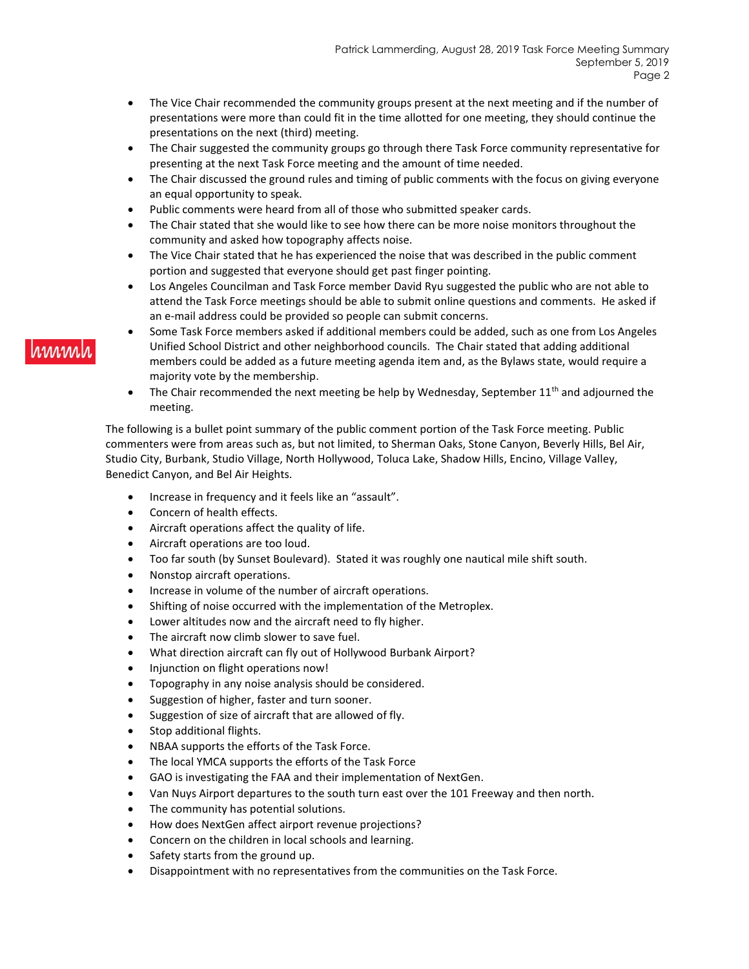- The Vice Chair recommended the community groups present at the next meeting and if the number of presentations were more than could fit in the time allotted for one meeting, they should continue the presentations on the next (third) meeting.
- The Chair suggested the community groups go through there Task Force community representative for presenting at the next Task Force meeting and the amount of time needed.
- The Chair discussed the ground rules and timing of public comments with the focus on giving everyone an equal opportunity to speak.
- Public comments were heard from all of those who submitted speaker cards.
- The Chair stated that she would like to see how there can be more noise monitors throughout the community and asked how topography affects noise.
- The Vice Chair stated that he has experienced the noise that was described in the public comment portion and suggested that everyone should get past finger pointing.
- Los Angeles Councilman and Task Force member David Ryu suggested the public who are not able to attend the Task Force meetings should be able to submit online questions and comments. He asked if an e-mail address could be provided so people can submit concerns.
- Some Task Force members asked if additional members could be added, such as one from Los Angeles Unified School District and other neighborhood councils. The Chair stated that adding additional members could be added as a future meeting agenda item and, as the Bylaws state, would require a majority vote by the membership.
- The Chair recommended the next meeting be help by Wednesday, September  $11<sup>th</sup>$  and adjourned the meeting.

The following is a bullet point summary of the public comment portion of the Task Force meeting. Public commenters were from areas such as, but not limited, to Sherman Oaks, Stone Canyon, Beverly Hills, Bel Air, Studio City, Burbank, Studio Village, North Hollywood, Toluca Lake, Shadow Hills, Encino, Village Valley, Benedict Canyon, and Bel Air Heights.

- Increase in frequency and it feels like an "assault".
- Concern of health effects.
- Aircraft operations affect the quality of life.
- Aircraft operations are too loud.
- Too far south (by Sunset Boulevard). Stated it was roughly one nautical mile shift south.
- Nonstop aircraft operations.
- Increase in volume of the number of aircraft operations.
- Shifting of noise occurred with the implementation of the Metroplex.
- Lower altitudes now and the aircraft need to fly higher.
- The aircraft now climb slower to save fuel.
- What direction aircraft can fly out of Hollywood Burbank Airport?
- Injunction on flight operations now!
- Topography in any noise analysis should be considered.
- Suggestion of higher, faster and turn sooner.
- Suggestion of size of aircraft that are allowed of fly.
- Stop additional flights.
- NBAA supports the efforts of the Task Force.
- The local YMCA supports the efforts of the Task Force
- GAO is investigating the FAA and their implementation of NextGen.
- Van Nuys Airport departures to the south turn east over the 101 Freeway and then north.
- The community has potential solutions.
- How does NextGen affect airport revenue projections?
- Concern on the children in local schools and learning.
- Safety starts from the ground up.
- Disappointment with no representatives from the communities on the Task Force.

## **MMMM**